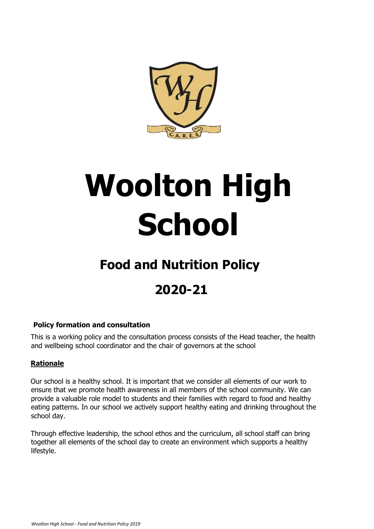

# **Woolton High School**

## **Food and Nutrition Policy**

## **2020-21**

#### **Policy formation and consultation**

This is a working policy and the consultation process consists of the Head teacher, the health and wellbeing school coordinator and the chair of governors at the school

#### **Rationale**

Our school is a healthy school. It is important that we consider all elements of our work to ensure that we promote health awareness in all members of the school community. We can provide a valuable role model to students and their families with regard to food and healthy eating patterns. In our school we actively support healthy eating and drinking throughout the school day.

Through effective leadership, the school ethos and the curriculum, all school staff can bring together all elements of the school day to create an environment which supports a healthy lifestyle.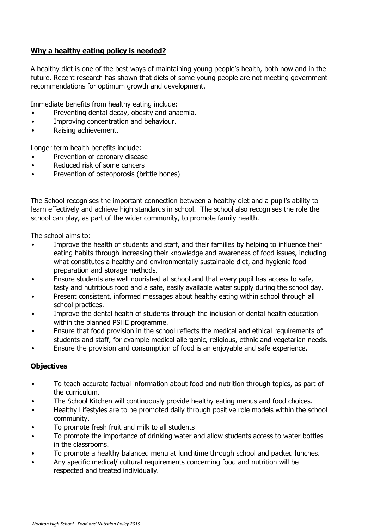#### **Why a healthy eating policy is needed?**

A healthy diet is one of the best ways of maintaining young people's health, both now and in the future. Recent research has shown that diets of some young people are not meeting government recommendations for optimum growth and development.

Immediate benefits from healthy eating include:

- Preventing dental decay, obesity and anaemia.
- Improving concentration and behaviour.
- Raising achievement.

Longer term health benefits include:

- Prevention of coronary disease
- Reduced risk of some cancers
- Prevention of osteoporosis (brittle bones)

The School recognises the important connection between a healthy diet and a pupil's ability to learn effectively and achieve high standards in school. The school also recognises the role the school can play, as part of the wider community, to promote family health.

The school aims to:

- Improve the health of students and staff, and their families by helping to influence their eating habits through increasing their knowledge and awareness of food issues, including what constitutes a healthy and environmentally sustainable diet, and hygienic food preparation and storage methods.
- Ensure students are well nourished at school and that every pupil has access to safe, tasty and nutritious food and a safe, easily available water supply during the school day.
- Present consistent, informed messages about healthy eating within school through all school practices.
- Improve the dental health of students through the inclusion of dental health education within the planned PSHE programme.
- Ensure that food provision in the school reflects the medical and ethical requirements of students and staff, for example medical allergenic, religious, ethnic and vegetarian needs.
- Ensure the provision and consumption of food is an enjoyable and safe experience.

#### **Objectives**

- To teach accurate factual information about food and nutrition through topics, as part of the curriculum.
- The School Kitchen will continuously provide healthy eating menus and food choices.
- Healthy Lifestyles are to be promoted daily through positive role models within the school community.
- To promote fresh fruit and milk to all students
- To promote the importance of drinking water and allow students access to water bottles in the classrooms.
- To promote a healthy balanced menu at lunchtime through school and packed lunches.
- Any specific medical/ cultural requirements concerning food and nutrition will be respected and treated individually.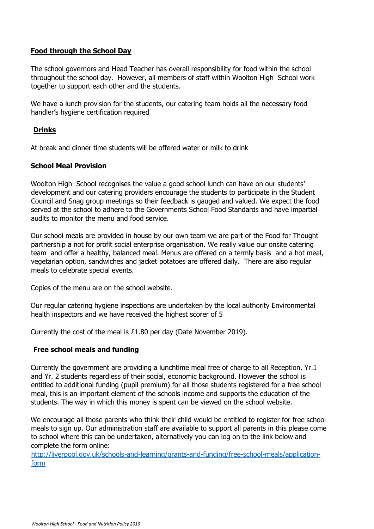#### **Food through the School Day**

The school governors and Head Teacher has overall responsibility for food within the school throughout the school day. However, all members of staff within Woolton High School work together to support each other and the students.

We have a lunch provision for the students, our catering team holds all the necessary food handler's hygiene certification required

#### **Drinks**

At break and dinner time students will be offered water or milk to drink

#### **School Meal Provision**

Woolton High School recognises the value a good school lunch can have on our students' development and our catering providers encourage the students to participate in the Student Council and Snag group meetings so their feedback is gauged and valued. We expect the food served at the school to adhere to the Governments School Food Standards and have impartial audits to monitor the menu and food service.

Our school meals are provided in house by our own team we are part of the Food for Thought partnership a not for profit social enterprise organisation. We really value our onsite catering team and offer a healthy, balanced meal. Menus are offered on a termly basis and a hot meal, vegetarian option, sandwiches and jacket potatoes are offered daily. There are also regular meals to celebrate special events.

Copies of the menu are on the school website.

Our regular catering hygiene inspections are undertaken by the local authority Environmental health inspectors and we have received the highest scorer of 5

Currently the cost of the meal is £1.80 per day (Date November 2019).

#### **Free school meals and funding**

Currently the government are providing a lunchtime meal free of charge to all Reception, Yr.1 and Yr. 2 students regardless of their social, economic background. However the school is entitled to additional funding (pupil premium) for all those students registered for a free school meal, this is an important element of the schools income and supports the education of the students. The way in which this money is spent can be viewed on the school website.

We encourage all those parents who think their child would be entitled to register for free school meals to sign up. Our administration staff are available to support all parents in this please come to school where this can be undertaken, alternatively you can log on to the link below and complete the form online:

[http://liverpool.gov.uk/schools-and-learning/grants-and-funding/free-school-meals/application](http://liverpool.gov.uk/schools-and-learning/grants-and-funding/free-school-meals/application-form)[form](http://liverpool.gov.uk/schools-and-learning/grants-and-funding/free-school-meals/application-form)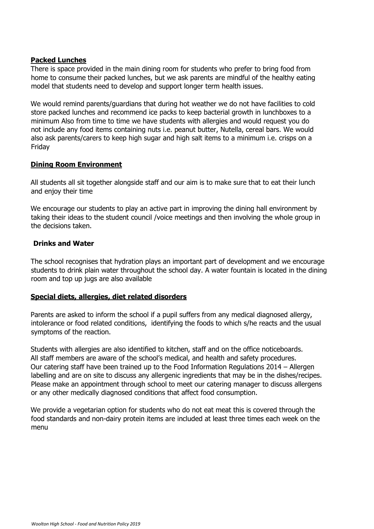#### **Packed Lunches**

There is space provided in the main dining room for students who prefer to bring food from home to consume their packed lunches, but we ask parents are mindful of the healthy eating model that students need to develop and support longer term health issues.

We would remind parents/guardians that during hot weather we do not have facilities to cold store packed lunches and recommend ice packs to keep bacterial growth in lunchboxes to a minimum Also from time to time we have students with allergies and would request you do not include any food items containing nuts i.e. peanut butter, Nutella, cereal bars. We would also ask parents/carers to keep high sugar and high salt items to a minimum i.e. crisps on a Friday

#### **Dining Room Environment**

All students all sit together alongside staff and our aim is to make sure that to eat their lunch and enjoy their time

We encourage our students to play an active part in improving the dining hall environment by taking their ideas to the student council /voice meetings and then involving the whole group in the decisions taken.

#### **Drinks and Water**

The school recognises that hydration plays an important part of development and we encourage students to drink plain water throughout the school day. A water fountain is located in the dining room and top up jugs are also available

#### **Special diets, allergies, diet related disorders**

Parents are asked to inform the school if a pupil suffers from any medical diagnosed allergy, intolerance or food related conditions, identifying the foods to which s/he reacts and the usual symptoms of the reaction.

Students with allergies are also identified to kitchen, staff and on the office noticeboards. All staff members are aware of the school's medical, and health and safety procedures. Our catering staff have been trained up to the Food Information Regulations 2014 – Allergen labelling and are on site to discuss any allergenic ingredients that may be in the dishes/recipes. Please make an appointment through school to meet our catering manager to discuss allergens or any other medically diagnosed conditions that affect food consumption.

We provide a vegetarian option for students who do not eat meat this is covered through the food standards and non-dairy protein items are included at least three times each week on the menu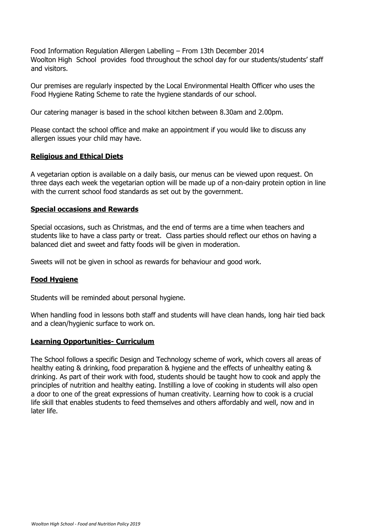Food Information Regulation Allergen Labelling – From 13th December 2014 Woolton High School provides food throughout the school day for our students/students' staff and visitors.

Our premises are regularly inspected by the Local Environmental Health Officer who uses the Food Hygiene Rating Scheme to rate the hygiene standards of our school.

Our catering manager is based in the school kitchen between 8.30am and 2.00pm.

Please contact the school office and make an appointment if you would like to discuss any allergen issues your child may have.

#### **Religious and Ethical Diets**

A vegetarian option is available on a daily basis, our menus can be viewed upon request. On three days each week the vegetarian option will be made up of a non-dairy protein option in line with the current school food standards as set out by the government.

#### **Special occasions and Rewards**

Special occasions, such as Christmas, and the end of terms are a time when teachers and students like to have a class party or treat. Class parties should reflect our ethos on having a balanced diet and sweet and fatty foods will be given in moderation.

Sweets will not be given in school as rewards for behaviour and good work.

#### **Food Hygiene**

Students will be reminded about personal hygiene.

When handling food in lessons both staff and students will have clean hands, long hair tied back and a clean/hygienic surface to work on.

#### **Learning Opportunities- Curriculum**

The School follows a specific Design and Technology scheme of work, which covers all areas of healthy eating & drinking, food preparation & hygiene and the effects of unhealthy eating & drinking. As part of their work with food, students should be taught how to cook and apply the principles of nutrition and healthy eating. Instilling a love of cooking in students will also open a door to one of the great expressions of human creativity. Learning how to cook is a crucial life skill that enables students to feed themselves and others affordably and well, now and in later life.